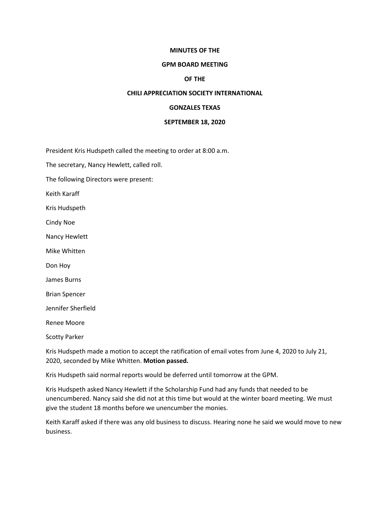## **MINUTES OF THE**

#### **GPM BOARD MEETING**

## **OF THE**

#### **CHILI APPRECIATION SOCIETY INTERNATIONAL**

# **GONZALES TEXAS**

#### **SEPTEMBER 18, 2020**

President Kris Hudspeth called the meeting to order at 8:00 a.m.

The secretary, Nancy Hewlett, called roll.

The following Directors were present:

Keith Karaff

Kris Hudspeth

Cindy Noe

Nancy Hewlett

Mike Whitten

Don Hoy

James Burns

Brian Spencer

Jennifer Sherfield

Renee Moore

Scotty Parker

Kris Hudspeth made a motion to accept the ratification of email votes from June 4, 2020 to July 21, 2020, seconded by Mike Whitten. **Motion passed.**

Kris Hudspeth said normal reports would be deferred until tomorrow at the GPM.

Kris Hudspeth asked Nancy Hewlett if the Scholarship Fund had any funds that needed to be unencumbered. Nancy said she did not at this time but would at the winter board meeting. We must give the student 18 months before we unencumber the monies.

Keith Karaff asked if there was any old business to discuss. Hearing none he said we would move to new business.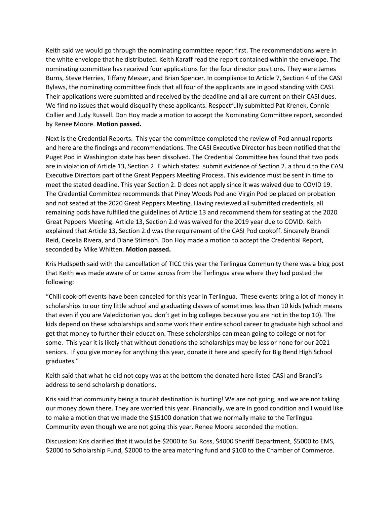Keith said we would go through the nominating committee report first. The recommendations were in the white envelope that he distributed. Keith Karaff read the report contained within the envelope. The nominating committee has received four applications for the four director positions. They were James Burns, Steve Herries, Tiffany Messer, and Brian Spencer. In compliance to Article 7, Section 4 of the CASI Bylaws, the nominating committee finds that all four of the applicants are in good standing with CASI. Their applications were submitted and received by the deadline and all are current on their CASI dues. We find no issues that would disqualify these applicants. Respectfully submitted Pat Krenek, Connie Collier and Judy Russell. Don Hoy made a motion to accept the Nominating Committee report, seconded by Renee Moore. **Motion passed.**

Next is the Credential Reports. This year the committee completed the review of Pod annual reports and here are the findings and recommendations. The CASI Executive Director has been notified that the Puget Pod in Washington state has been dissolved. The Credential Committee has found that two pods are in violation of Article 13, Section 2. E which states: submit evidence of Section 2. a thru d to the CASI Executive Directors part of the Great Peppers Meeting Process. This evidence must be sent in time to meet the stated deadline. This year Section 2. D does not apply since it was waived due to COVID 19. The Credential Committee recommends that Piney Woods Pod and Virgin Pod be placed on probation and not seated at the 2020 Great Peppers Meeting. Having reviewed all submitted credentials, all remaining pods have fulfilled the guidelines of Article 13 and recommend them for seating at the 2020 Great Peppers Meeting. Article 13, Section 2.d was waived for the 2019 year due to COVID. Keith explained that Article 13, Section 2.d was the requirement of the CASI Pod cookoff. Sincerely Brandi Reid, Cecelia Rivera, and Diane Stimson. Don Hoy made a motion to accept the Credential Report, seconded by Mike Whitten. **Motion passed.**

Kris Hudspeth said with the cancellation of TICC this year the Terlingua Community there was a blog post that Keith was made aware of or came across from the Terlingua area where they had posted the following:

"Chili cook-off events have been canceled for this year in Terlingua. These events bring a lot of money in scholarships to our tiny little school and graduating classes of sometimes less than 10 kids (which means that even if you are Valedictorian you don't get in big colleges because you are not in the top 10). The kids depend on these scholarships and some work their entire school career to graduate high school and get that money to further their education. These scholarships can mean going to college or not for some. This year it is likely that without donations the scholarships may be less or none for our 2021 seniors. If you give money for anything this year, donate it here and specify for Big Bend High School graduates."

Keith said that what he did not copy was at the bottom the donated here listed CASI and Brandi's address to send scholarship donations.

Kris said that community being a tourist destination is hurting! We are not going, and we are not taking our money down there. They are worried this year. Financially, we are in good condition and I would like to make a motion that we made the \$15100 donation that we normally make to the Terlingua Community even though we are not going this year. Renee Moore seconded the motion.

Discussion: Kris clarified that it would be \$2000 to Sul Ross, \$4000 Sheriff Department, \$5000 to EMS, \$2000 to Scholarship Fund, \$2000 to the area matching fund and \$100 to the Chamber of Commerce.